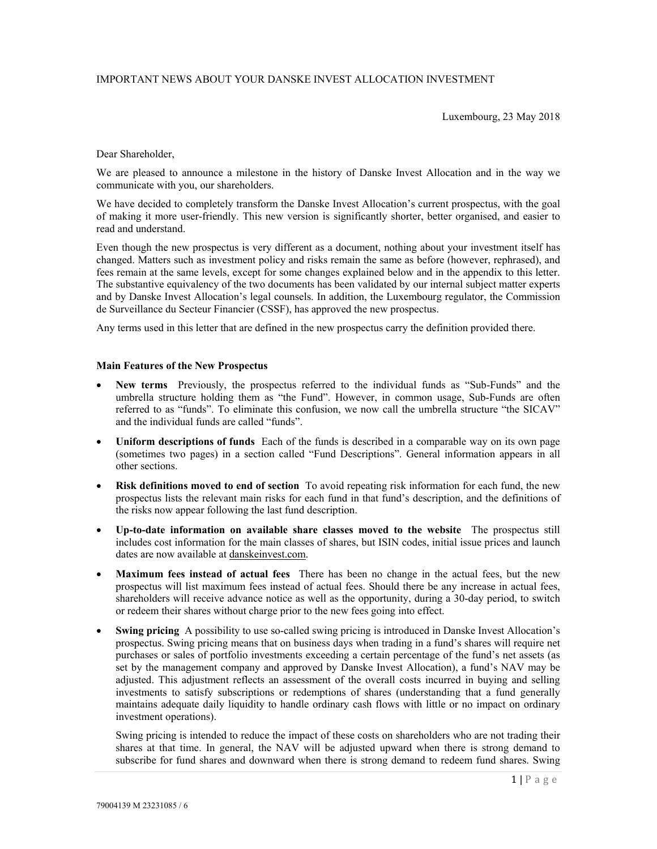# IMPORTANT NEWS ABOUT YOUR DANSKE INVEST ALLOCATION INVESTMENT

Luxembourg, 23 May 2018

Dear Shareholder,

We are pleased to announce a milestone in the history of Danske Invest Allocation and in the way we communicate with you, our shareholders.

We have decided to completely transform the Danske Invest Allocation's current prospectus, with the goal of making it more user-friendly. This new version is significantly shorter, better organised, and easier to read and understand.

Even though the new prospectus is very different as a document, nothing about your investment itself has changed. Matters such as investment policy and risks remain the same as before (however, rephrased), and fees remain at the same levels, except for some changes explained below and in the appendix to this letter. The substantive equivalency of the two documents has been validated by our internal subject matter experts and by Danske Invest Allocation's legal counsels. In addition, the Luxembourg regulator, the Commission de Surveillance du Secteur Financier (CSSF), has approved the new prospectus.

Any terms used in this letter that are defined in the new prospectus carry the definition provided there.

#### **Main Features of the New Prospectus**

- **New terms** Previously, the prospectus referred to the individual funds as "Sub-Funds" and the umbrella structure holding them as "the Fund". However, in common usage, Sub-Funds are often referred to as "funds". To eliminate this confusion, we now call the umbrella structure "the SICAV" and the individual funds are called "funds".
- **Uniform descriptions of funds** Each of the funds is described in a comparable way on its own page (sometimes two pages) in a section called "Fund Descriptions". General information appears in all other sections.
- **Risk definitions moved to end of section** To avoid repeating risk information for each fund, the new prospectus lists the relevant main risks for each fund in that fund's description, and the definitions of the risks now appear following the last fund description.
- **Up-to-date information on available share classes moved to the website** The prospectus still includes cost information for the main classes of shares, but ISIN codes, initial issue prices and launch dates are now available at danskeinvest.com.
- **Maximum fees instead of actual fees** There has been no change in the actual fees, but the new prospectus will list maximum fees instead of actual fees. Should there be any increase in actual fees, shareholders will receive advance notice as well as the opportunity, during a 30-day period, to switch or redeem their shares without charge prior to the new fees going into effect.
- **Swing pricing** A possibility to use so-called swing pricing is introduced in Danske Invest Allocation's prospectus. Swing pricing means that on business days when trading in a fund's shares will require net purchases or sales of portfolio investments exceeding a certain percentage of the fund's net assets (as set by the management company and approved by Danske Invest Allocation), a fund's NAV may be adjusted. This adjustment reflects an assessment of the overall costs incurred in buying and selling investments to satisfy subscriptions or redemptions of shares (understanding that a fund generally maintains adequate daily liquidity to handle ordinary cash flows with little or no impact on ordinary investment operations).

Swing pricing is intended to reduce the impact of these costs on shareholders who are not trading their shares at that time. In general, the NAV will be adjusted upward when there is strong demand to subscribe for fund shares and downward when there is strong demand to redeem fund shares. Swing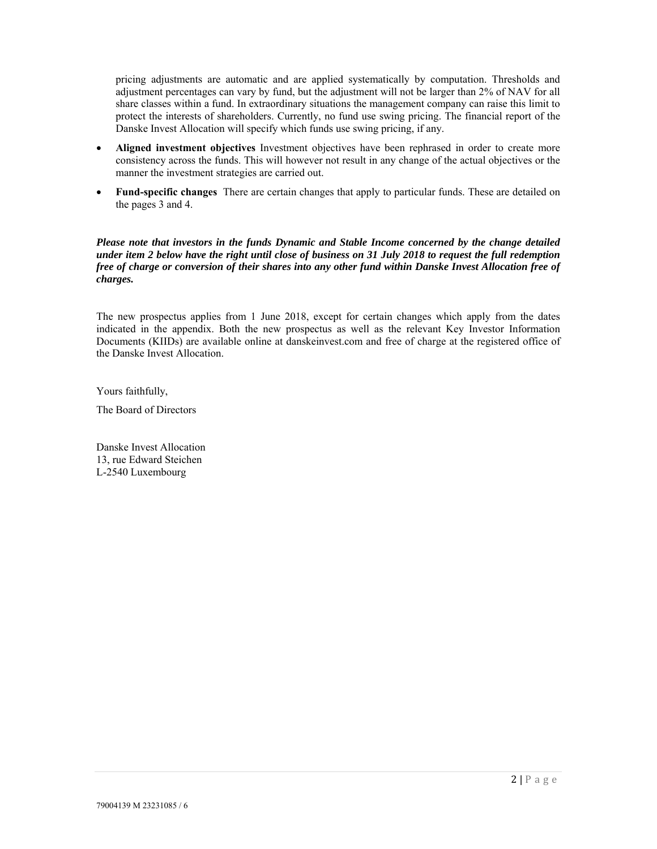pricing adjustments are automatic and are applied systematically by computation. Thresholds and adjustment percentages can vary by fund, but the adjustment will not be larger than 2% of NAV for all share classes within a fund. In extraordinary situations the management company can raise this limit to protect the interests of shareholders. Currently, no fund use swing pricing. The financial report of the Danske Invest Allocation will specify which funds use swing pricing, if any.

- **Aligned investment objectives** Investment objectives have been rephrased in order to create more consistency across the funds. This will however not result in any change of the actual objectives or the manner the investment strategies are carried out.
- **Fund-specific changes** There are certain changes that apply to particular funds. These are detailed on the pages 3 and 4.

*Please note that investors in the funds Dynamic and Stable Income concerned by the change detailed under item 2 below have the right until close of business on 31 July 2018 to request the full redemption free of charge or conversion of their shares into any other fund within Danske Invest Allocation free of charges.* 

The new prospectus applies from 1 June 2018, except for certain changes which apply from the dates indicated in the appendix. Both the new prospectus as well as the relevant Key Investor Information Documents (KIIDs) are available online at danskeinvest.com and free of charge at the registered office of the Danske Invest Allocation.

Yours faithfully,

The Board of Directors

Danske Invest Allocation 13, rue Edward Steichen L-2540 Luxembourg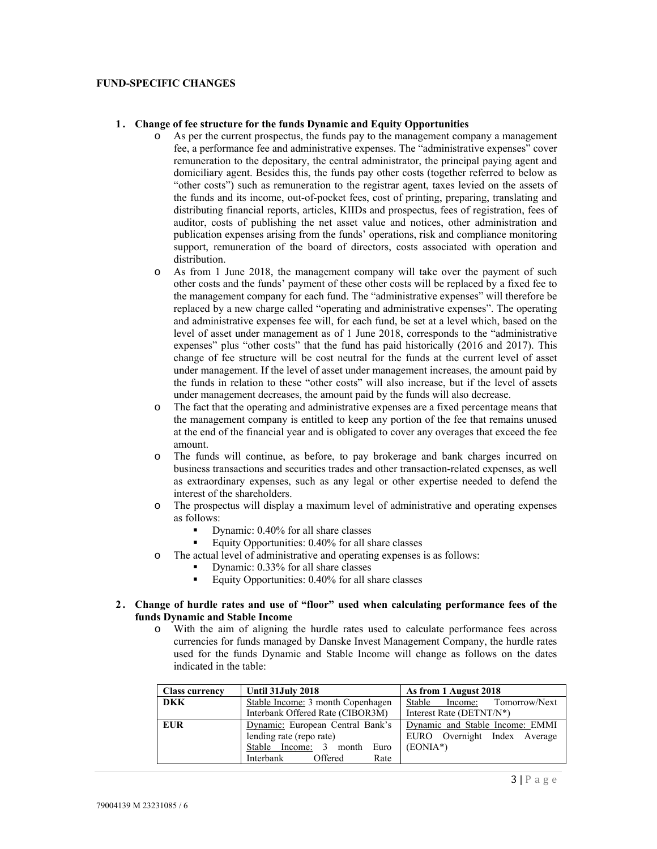### **FUND-SPECIFIC CHANGES**

### **1 . Change of fee structure for the funds Dynamic and Equity Opportunities**

- o As per the current prospectus, the funds pay to the management company a management fee, a performance fee and administrative expenses. The "administrative expenses" cover remuneration to the depositary, the central administrator, the principal paying agent and domiciliary agent. Besides this, the funds pay other costs (together referred to below as "other costs") such as remuneration to the registrar agent, taxes levied on the assets of the funds and its income, out-of-pocket fees, cost of printing, preparing, translating and distributing financial reports, articles, KIIDs and prospectus, fees of registration, fees of auditor, costs of publishing the net asset value and notices, other administration and publication expenses arising from the funds' operations, risk and compliance monitoring support, remuneration of the board of directors, costs associated with operation and distribution.
- o As from 1 June 2018, the management company will take over the payment of such other costs and the funds' payment of these other costs will be replaced by a fixed fee to the management company for each fund. The "administrative expenses" will therefore be replaced by a new charge called "operating and administrative expenses". The operating and administrative expenses fee will, for each fund, be set at a level which, based on the level of asset under management as of 1 June 2018, corresponds to the "administrative expenses" plus "other costs" that the fund has paid historically (2016 and 2017). This change of fee structure will be cost neutral for the funds at the current level of asset under management. If the level of asset under management increases, the amount paid by the funds in relation to these "other costs" will also increase, but if the level of assets under management decreases, the amount paid by the funds will also decrease.
- o The fact that the operating and administrative expenses are a fixed percentage means that the management company is entitled to keep any portion of the fee that remains unused at the end of the financial year and is obligated to cover any overages that exceed the fee amount.
- o The funds will continue, as before, to pay brokerage and bank charges incurred on business transactions and securities trades and other transaction-related expenses, as well as extraordinary expenses, such as any legal or other expertise needed to defend the interest of the shareholders.
- o The prospectus will display a maximum level of administrative and operating expenses as follows:
	- Dynamic: 0.40% for all share classes
	- Equity Opportunities: 0.40% for all share classes
- o The actual level of administrative and operating expenses is as follows:
	- Dynamic: 0.33% for all share classes
	- Equity Opportunities:  $0.40\%$  for all share classes

## **2 . Change of hurdle rates and use of "floor" used when calculating performance fees of the funds Dynamic and Stable Income**

o With the aim of aligning the hurdle rates used to calculate performance fees across currencies for funds managed by Danske Invest Management Company, the hurdle rates used for the funds Dynamic and Stable Income will change as follows on the dates indicated in the table:

| <b>Class currency</b> | Until 31 July 2018                                                                                                          | As from 1 August 2018                                                          |
|-----------------------|-----------------------------------------------------------------------------------------------------------------------------|--------------------------------------------------------------------------------|
| <b>DKK</b>            | Stable Income: 3 month Copenhagen<br>Interbank Offered Rate (CIBOR3M)                                                       | Stable Income: Tomorrow/Next<br>Interest Rate (DETNT/N*)                       |
| <b>EUR</b>            | Dynamic: European Central Bank's<br>lending rate (repo rate)<br>Stable Income: 3 month Euro<br>Interbank<br>Offered<br>Rate | Dynamic and Stable Income: EMMI<br>EURO Overnight Index Average<br>$(EONIA^*)$ |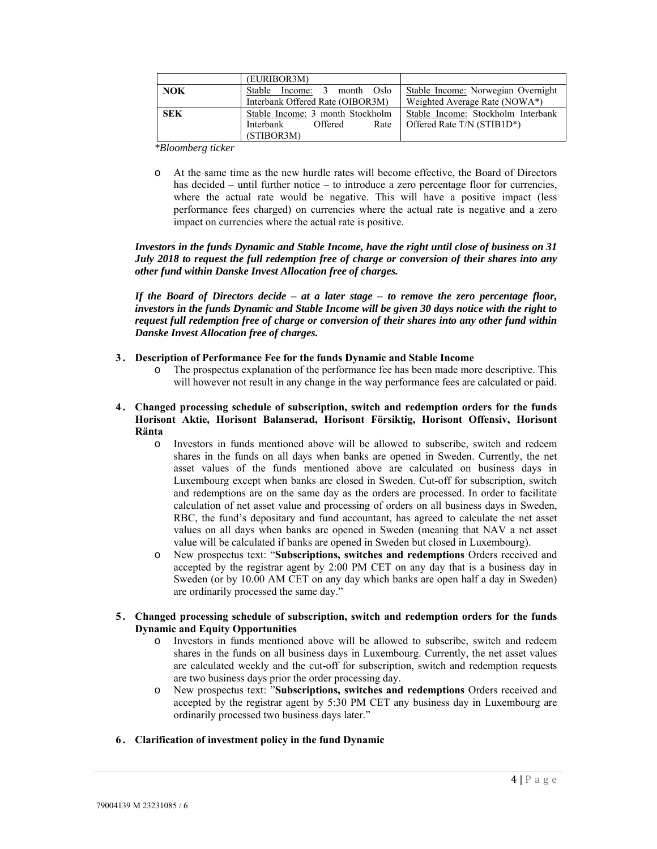|            | (EURIBOR3M)                      |                                    |
|------------|----------------------------------|------------------------------------|
| <b>NOK</b> | Stable Income: 3 month Oslo      | Stable Income: Norwegian Overnight |
|            | Interbank Offered Rate (OIBOR3M) | Weighted Average Rate (NOWA*)      |
| <b>SEK</b> | Stable Income: 3 month Stockholm | Stable Income: Stockholm Interbank |
|            | Interbank<br>Offered<br>Rate     | Offered Rate T/N (STIB1D*)         |
|            | (STIBOR3M)                       |                                    |

*\*Bloomberg ticker* 

At the same time as the new hurdle rates will become effective, the Board of Directors has decided – until further notice – to introduce a zero percentage floor for currencies, where the actual rate would be negative. This will have a positive impact (less performance fees charged) on currencies where the actual rate is negative and a zero impact on currencies where the actual rate is positive.

*Investors in the funds Dynamic and Stable Income, have the right until close of business on 31 July 2018 to request the full redemption free of charge or conversion of their shares into any other fund within Danske Invest Allocation free of charges.* 

*If the Board of Directors decide – at a later stage – to remove the zero percentage floor, investors in the funds Dynamic and Stable Income will be given 30 days notice with the right to request full redemption free of charge or conversion of their shares into any other fund within Danske Invest Allocation free of charges.* 

# **3 . Description of Performance Fee for the funds Dynamic and Stable Income**

- o The prospectus explanation of the performance fee has been made more descriptive. This will however not result in any change in the way performance fees are calculated or paid.
- **4 . Changed processing schedule of subscription, switch and redemption orders for the funds Horisont Aktie, Horisont Balanserad, Horisont Försiktig, Horisont Offensiv, Horisont Ränta** 
	- o Investors in funds mentioned above will be allowed to subscribe, switch and redeem shares in the funds on all days when banks are opened in Sweden. Currently, the net asset values of the funds mentioned above are calculated on business days in Luxembourg except when banks are closed in Sweden. Cut-off for subscription, switch and redemptions are on the same day as the orders are processed. In order to facilitate calculation of net asset value and processing of orders on all business days in Sweden, RBC, the fund's depositary and fund accountant, has agreed to calculate the net asset values on all days when banks are opened in Sweden (meaning that NAV a net asset value will be calculated if banks are opened in Sweden but closed in Luxembourg).
	- o New prospectus text: "**Subscriptions, switches and redemptions** Orders received and accepted by the registrar agent by 2:00 PM CET on any day that is a business day in Sweden (or by 10.00 AM CET on any day which banks are open half a day in Sweden) are ordinarily processed the same day."
- **5 . Changed processing schedule of subscription, switch and redemption orders for the funds Dynamic and Equity Opportunities** 
	- o Investors in funds mentioned above will be allowed to subscribe, switch and redeem shares in the funds on all business days in Luxembourg. Currently, the net asset values are calculated weekly and the cut-off for subscription, switch and redemption requests are two business days prior the order processing day.
	- o New prospectus text: "**Subscriptions, switches and redemptions** Orders received and accepted by the registrar agent by 5:30 PM CET any business day in Luxembourg are ordinarily processed two business days later."
- **6 . Clarification of investment policy in the fund Dynamic**